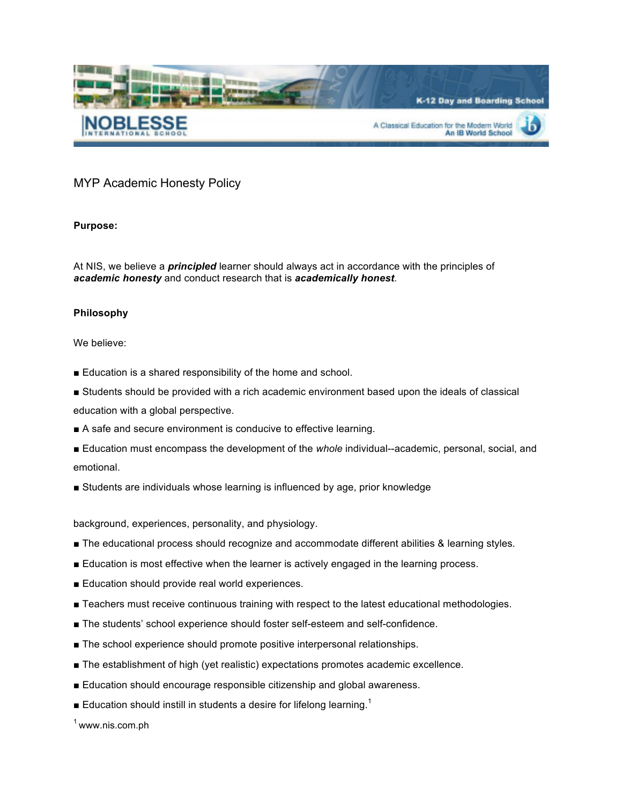

MYP Academic Honesty Policy

## **Purpose:**

At NIS, we believe a *principled* learner should always act in accordance with the principles of *academic honesty* and conduct research that is *academically honest*.

## **Philosophy**

We believe:

- Education is a shared responsibility of the home and school.
- Students should be provided with a rich academic environment based upon the ideals of classical education with a global perspective.
- A safe and secure environment is conducive to effective learning.
- Education must encompass the development of the *whole* individual--academic, personal, social, and emotional.
- Students are individuals whose learning is influenced by age, prior knowledge

background, experiences, personality, and physiology.

- The educational process should recognize and accommodate different abilities & learning styles.
- Education is most effective when the learner is actively engaged in the learning process.
- Education should provide real world experiences.
- Teachers must receive continuous training with respect to the latest educational methodologies.
- The students' school experience should foster self-esteem and self-confidence.
- The school experience should promote positive interpersonal relationships.
- The establishment of high (yet realistic) expectations promotes academic excellence.
- Education should encourage responsible citizenship and global awareness.
- **Education should instill in students a desire for lifelong learning.**<sup>1</sup>

 $1$  www.nis.com.ph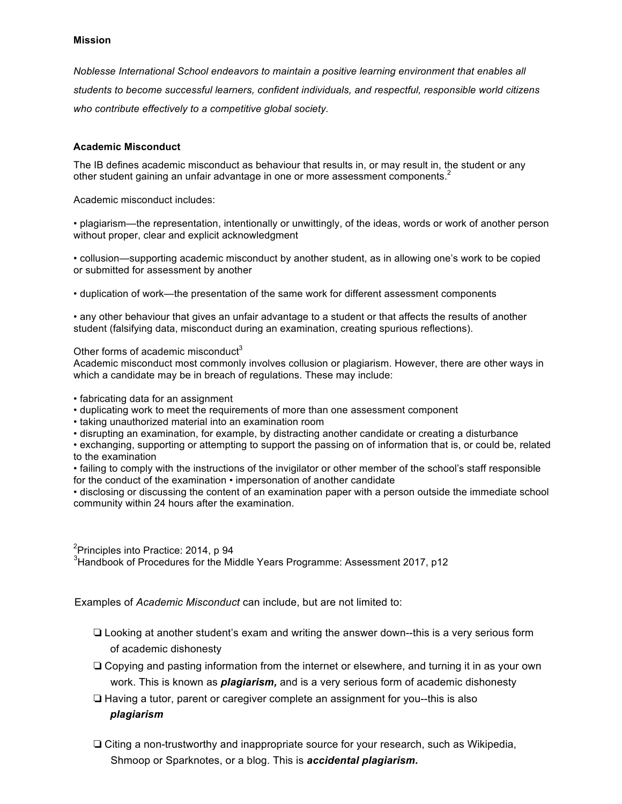*Noblesse International School endeavors to maintain a positive learning environment that enables all students to become successful learners, confident individuals, and respectful, responsible world citizens who contribute effectively to a competitive global society.*

### **Academic Misconduct**

The IB defines academic misconduct as behaviour that results in, or may result in, the student or any other student gaining an unfair advantage in one or more assessment components.<sup>2</sup>

Academic misconduct includes:

• plagiarism—the representation, intentionally or unwittingly, of the ideas, words or work of another person without proper, clear and explicit acknowledgment

• collusion—supporting academic misconduct by another student, as in allowing one's work to be copied or submitted for assessment by another

• duplication of work—the presentation of the same work for different assessment components

• any other behaviour that gives an unfair advantage to a student or that affects the results of another student (falsifying data, misconduct during an examination, creating spurious reflections).

Other forms of academic misconduct<sup>3</sup>

Academic misconduct most commonly involves collusion or plagiarism. However, there are other ways in which a candidate may be in breach of regulations. These may include:

- fabricating data for an assignment
- duplicating work to meet the requirements of more than one assessment component
- taking unauthorized material into an examination room
- disrupting an examination, for example, by distracting another candidate or creating a disturbance

• exchanging, supporting or attempting to support the passing on of information that is, or could be, related to the examination

• failing to comply with the instructions of the invigilator or other member of the school's staff responsible for the conduct of the examination • impersonation of another candidate

• disclosing or discussing the content of an examination paper with a person outside the immediate school community within 24 hours after the examination.

<sup>2</sup>Principles into Practice: 2014, p 94 <sup>3</sup>Handbook of Procedures for the Middle Years Programme: Assessment 2017, p12

Examples of *Academic Misconduct* can include, but are not limited to:

- ❏ Looking at another student's exam and writing the answer down--this is a very serious form of academic dishonesty
- ❏ Copying and pasting information from the internet or elsewhere, and turning it in as your own work. This is known as *plagiarism,* and is a very serious form of academic dishonesty
- ❏ Having a tutor, parent or caregiver complete an assignment for you--this is also *plagiarism*
- ❏ Citing a non-trustworthy and inappropriate source for your research, such as Wikipedia, Shmoop or Sparknotes, or a blog. This is *accidental plagiarism.*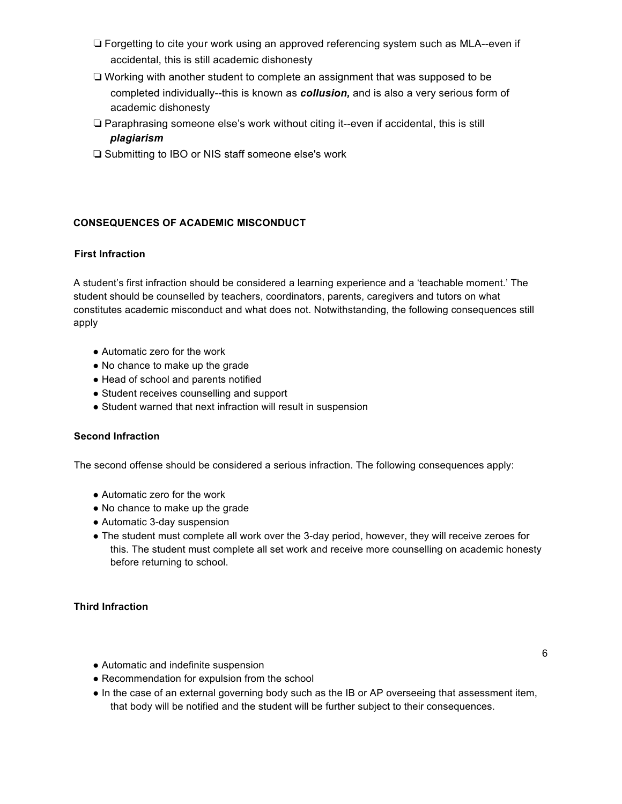- ❏ Forgetting to cite your work using an approved referencing system such as MLA--even if accidental, this is still academic dishonesty
- ❏ Working with another student to complete an assignment that was supposed to be completed individually--this is known as *collusion,* and is also a very serious form of academic dishonesty
- ❏ Paraphrasing someone else's work without citing it--even if accidental, this is still *plagiarism*
- ❏ Submitting to IBO or NIS staff someone else's work

# **CONSEQUENCES OF ACADEMIC MISCONDUCT**

### **First Infraction**

A student's first infraction should be considered a learning experience and a 'teachable moment.' The student should be counselled by teachers, coordinators, parents, caregivers and tutors on what constitutes academic misconduct and what does not. Notwithstanding, the following consequences still apply

- Automatic zero for the work
- No chance to make up the grade
- Head of school and parents notified
- Student receives counselling and support
- Student warned that next infraction will result in suspension

#### **Second Infraction**

The second offense should be considered a serious infraction. The following consequences apply:

- Automatic zero for the work
- No chance to make up the grade
- Automatic 3-day suspension
- The student must complete all work over the 3-day period, however, they will receive zeroes for this. The student must complete all set work and receive more counselling on academic honesty before returning to school.

#### **Third Infraction**

- Automatic and indefinite suspension
- Recommendation for expulsion from the school
- In the case of an external governing body such as the IB or AP overseeing that assessment item, that body will be notified and the student will be further subject to their consequences.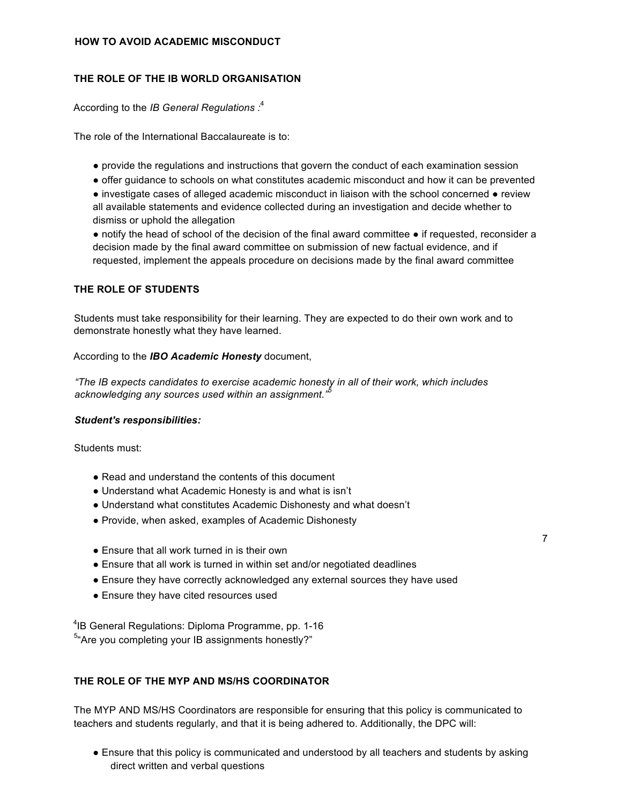### **HOW TO AVOID ACADEMIC MISCONDUCT**

# **THE ROLE OF THE IB WORLD ORGANISATION**

According to the *IB General Regulations :*<sup>4</sup>

The role of the International Baccalaureate is to:

- provide the regulations and instructions that govern the conduct of each examination session
- offer guidance to schools on what constitutes academic misconduct and how it can be prevented

● investigate cases of alleged academic misconduct in liaison with the school concerned ● review all available statements and evidence collected during an investigation and decide whether to dismiss or uphold the allegation

● notify the head of school of the decision of the final award committee ● if requested, reconsider a decision made by the final award committee on submission of new factual evidence, and if requested, implement the appeals procedure on decisions made by the final award committee

## **THE ROLE OF STUDENTS**

Students must take responsibility for their learning. They are expected to do their own work and to demonstrate honestly what they have learned.

#### According to the *IBO Academic Honesty* document,

*"The IB expects candidates to exercise academic honesty in all of their work, which includes acknowledging any sources used within an assignment."<sup>5</sup>*

#### *Student's responsibilities:*

Students must:

- Read and understand the contents of this document
- Understand what Academic Honesty is and what is isn't
- Understand what constitutes Academic Dishonesty and what doesn't
- Provide, when asked, examples of Academic Dishonesty
- Ensure that all work turned in is their own
- Ensure that all work is turned in within set and/or negotiated deadlines
- Ensure they have correctly acknowledged any external sources they have used

7

● Ensure they have cited resources used

4 IB General Regulations: Diploma Programme, pp. 1-16 <sup>5</sup>"Are you completing your IB assignments honestly?"

## **THE ROLE OF THE MYP AND MS/HS COORDINATOR**

The MYP AND MS/HS Coordinators are responsible for ensuring that this policy is communicated to teachers and students regularly, and that it is being adhered to. Additionally, the DPC will:

• Ensure that this policy is communicated and understood by all teachers and students by asking direct written and verbal questions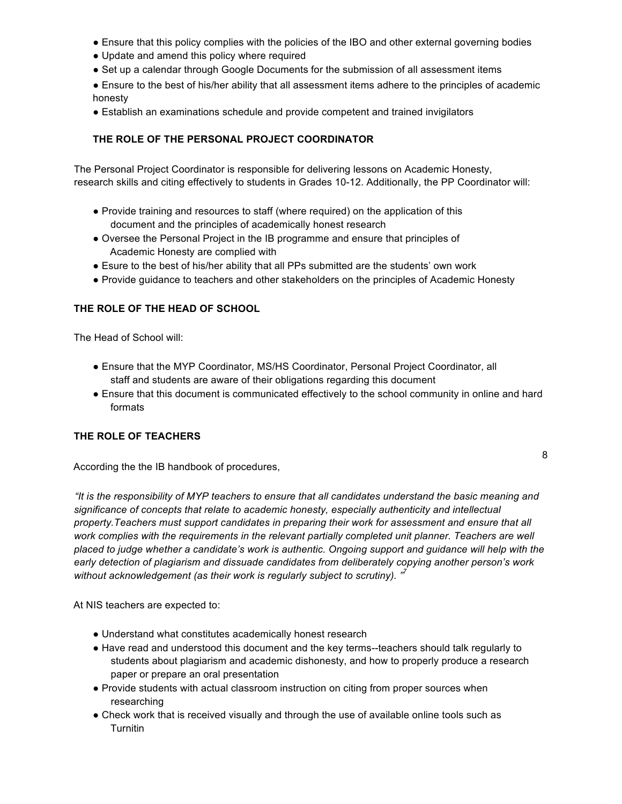- Ensure that this policy complies with the policies of the IBO and other external governing bodies
- Update and amend this policy where required
- Set up a calendar through Google Documents for the submission of all assessment items

● Ensure to the best of his/her ability that all assessment items adhere to the principles of academic honesty

● Establish an examinations schedule and provide competent and trained invigilators

## **THE ROLE OF THE PERSONAL PROJECT COORDINATOR**

The Personal Project Coordinator is responsible for delivering lessons on Academic Honesty, research skills and citing effectively to students in Grades 10-12. Additionally, the PP Coordinator will:

- Provide training and resources to staff (where required) on the application of this document and the principles of academically honest research
- Oversee the Personal Project in the IB programme and ensure that principles of Academic Honesty are complied with
- Esure to the best of his/her ability that all PPs submitted are the students' own work
- Provide guidance to teachers and other stakeholders on the principles of Academic Honesty

### **THE ROLE OF THE HEAD OF SCHOOL**

The Head of School will:

- Ensure that the MYP Coordinator, MS/HS Coordinator, Personal Project Coordinator, all staff and students are aware of their obligations regarding this document
- Ensure that this document is communicated effectively to the school community in online and hard formats

8

## **THE ROLE OF TEACHERS**

According the the IB handbook of procedures,

*"It is the responsibility of MYP teachers to ensure that all candidates understand the basic meaning and significance of concepts that relate to academic honesty, especially authenticity and intellectual property.Teachers must support candidates in preparing their work for assessment and ensure that all*  work complies with the requirements in the relevant partially completed unit planner. Teachers are well *placed to judge whether a candidate's work is authentic. Ongoing support and guidance will help with the early detection of plagiarism and dissuade candidates from deliberately copying another person's work without acknowledgement (as their work is regularly subject to scrutiny). "<sup>7</sup>*

At NIS teachers are expected to:

- Understand what constitutes academically honest research
- Have read and understood this document and the key terms--teachers should talk regularly to students about plagiarism and academic dishonesty, and how to properly produce a research paper or prepare an oral presentation
- Provide students with actual classroom instruction on citing from proper sources when researching
- Check work that is received visually and through the use of available online tools such as Turnitin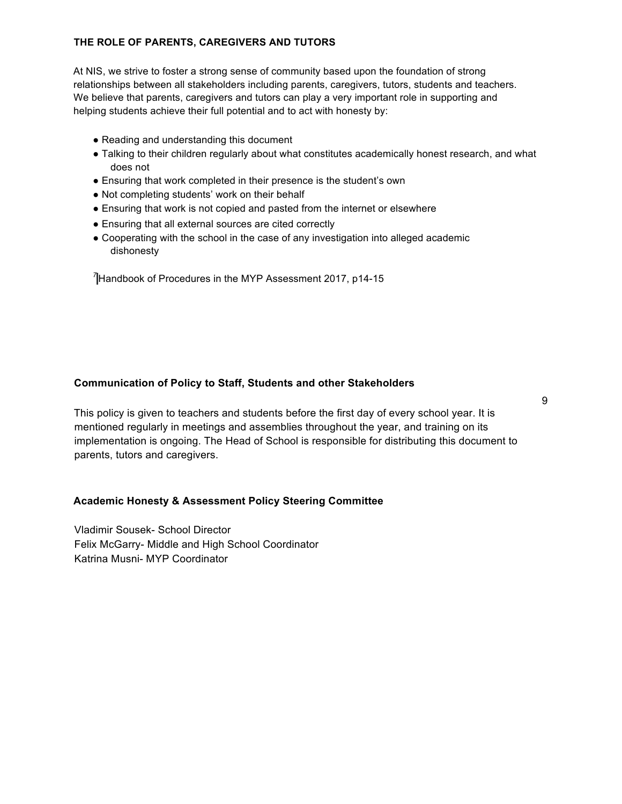# **THE ROLE OF PARENTS, CAREGIVERS AND TUTORS**

At NIS, we strive to foster a strong sense of community based upon the foundation of strong relationships between all stakeholders including parents, caregivers, tutors, students and teachers. We believe that parents, caregivers and tutors can play a very important role in supporting and helping students achieve their full potential and to act with honesty by:

- Reading and understanding this document
- Talking to their children regularly about what constitutes academically honest research, and what does not
- Ensuring that work completed in their presence is the student's own
- Not completing students' work on their behalf
- Ensuring that work is not copied and pasted from the internet or elsewhere
- Ensuring that all external sources are cited correctly
- Cooperating with the school in the case of any investigation into alleged academic dishonesty

*<sup>7</sup>* Handbook of Procedures in the MYP Assessment 2017, p14-15

## **Communication of Policy to Staff, Students and other Stakeholders**

This policy is given to teachers and students before the first day of every school year. It is mentioned regularly in meetings and assemblies throughout the year, and training on its implementation is ongoing. The Head of School is responsible for distributing this document to parents, tutors and caregivers.

9

## **Academic Honesty & Assessment Policy Steering Committee**

Vladimir Sousek- School Director Felix McGarry- Middle and High School Coordinator Katrina Musni- MYP Coordinator